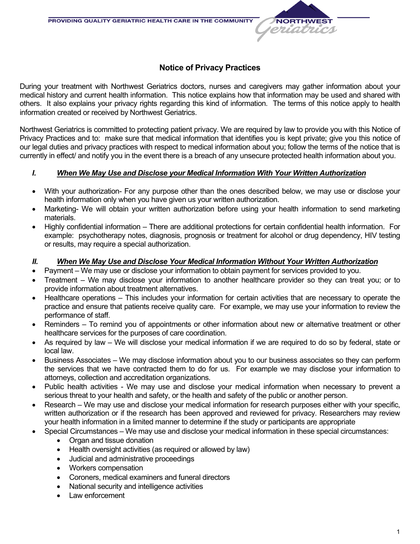# **Notice of Privacy Practices**

**NORTHWES** eriotri

During your treatment with Northwest Geriatrics doctors, nurses and caregivers may gather information about your medical history and current health information. This notice explains how that information may be used and shared with others. It also explains your privacy rights regarding this kind of information. The terms of this notice apply to health information created or received by Northwest Geriatrics.

Northwest Geriatrics is committed to protecting patient privacy. We are required by law to provide you with this Notice of Privacy Practices and to: make sure that medical information that identifies you is kept private; give you this notice of our legal duties and privacy practices with respect to medical information about you; follow the terms of the notice that is currently in effect/ and notify you in the event there is a breach of any unsecure protected health information about you.

#### *I. When We May Use and Disclose your Medical Information With Your Written Authorization*

- With your authorization- For any purpose other than the ones described below, we may use or disclose your health information only when you have given us your written authorization.
- Marketing- We will obtain your written authorization before using your health information to send marketing materials.
- Highly confidential information There are additional protections for certain confidential health information. For example: psychotherapy notes, diagnosis, prognosis or treatment for alcohol or drug dependency, HIV testing or results, may require a special authorization.

#### *II. When We May Use and Disclose Your Medical Information Without Your Written Authorization*

- Payment We may use or disclose your information to obtain payment for services provided to you.
- Treatment We may disclose your information to another healthcare provider so they can treat you; or to provide information about treatment alternatives.
- Healthcare operations This includes your information for certain activities that are necessary to operate the practice and ensure that patients receive quality care. For example, we may use your information to review the performance of staff.
- Reminders To remind you of appointments or other information about new or alternative treatment or other healthcare services for the purposes of care coordination.
- As required by law We will disclose your medical information if we are required to do so by federal, state or local law.
- Business Associates We may disclose information about you to our business associates so they can perform the services that we have contracted them to do for us. For example we may disclose your information to attorneys, collection and accreditation organizations.
- Public health activities We may use and disclose your medical information when necessary to prevent a serious threat to your health and safety, or the health and safety of the public or another person.
- Research We may use and disclose your medical information for research purposes either with your specific, written authorization or if the research has been approved and reviewed for privacy. Researchers may review your health information in a limited manner to determine if the study or participants are appropriate
	- Special Circumstances We may use and disclose your medical information in these special circumstances:
		- Organ and tissue donation
		- Health oversight activities (as required or allowed by law)
		- Judicial and administrative proceedings
		- Workers compensation
		- Coroners, medical examiners and funeral directors
		- National security and intelligence activities
		- Law enforcement